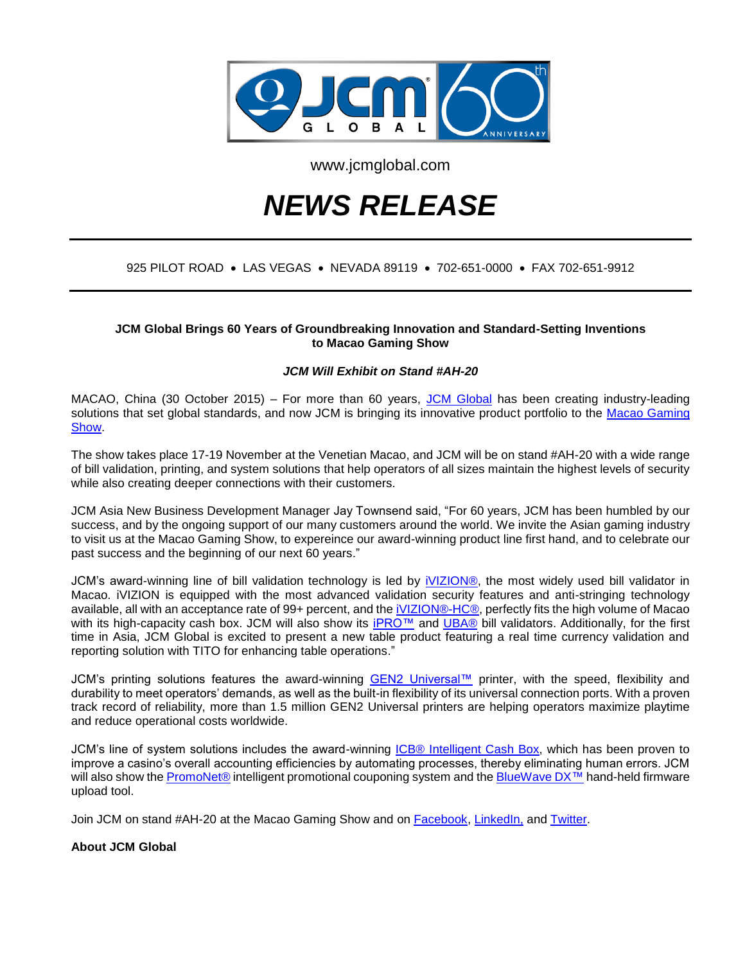

www.jcmglobal.com

# *NEWS RELEASE*

## 925 PILOT ROAD • LAS VEGAS • NEVADA 89119 • 702-651-0000 • FAX 702-651-9912

### **JCM Global Brings 60 Years of Groundbreaking Innovation and Standard-Setting Inventions to Macao Gaming Show**

## *JCM Will Exhibit on Stand #AH-20*

MACAO, China (30 October 2015) – For more than 60 years, [JCM Global](http://www.jcmglobal.com/) has been creating industry-leading solutions that set global standards, and now JCM is bringing its innovative product portfolio to the Macao Gaming [Show.](http://www.macaogamingshow.com/mgs2015/en)

The show takes place 17-19 November at the Venetian Macao, and JCM will be on stand #AH-20 with a wide range of bill validation, printing, and system solutions that help operators of all sizes maintain the highest levels of security while also creating deeper connections with their customers.

JCM Asia New Business Development Manager Jay Townsend said, "For 60 years, JCM has been humbled by our success, and by the ongoing support of our many customers around the world. We invite the Asian gaming industry to visit us at the Macao Gaming Show, to expereince our award-winning product line first hand, and to celebrate our past success and the beginning of our next 60 years."

JCM's award-winning line of bill validation technology is led by [iVIZION®,](http://am-en.jcmglobal.com/product/%D1%96vizion/) the most widely used bill validator in Macao. iVIZION is equipped with the most advanced validation security features and anti-stringing technology available, all with an acceptance rate of 99+ percent, and the *iVIZION®-HC®*, perfectly fits the high volume of Macao with its high-capacity cash box. JCM will also show its **iPRO™** and [UBA®](http://am-en.jcmglobal.com/product/uba/) bill validators. Additionally, for the first time in Asia, JCM Global is excited to present a new table product featuring a real time currency validation and reporting solution with TITO for enhancing table operations."

JCM's printing solutions features the award-winning [GEN2 Universal™](http://am-en.jcmglobal.com/product/gen2u/) printer, with the speed, flexibility and durability to meet operators' demands, as well as the built-in flexibility of its universal connection ports. With a proven track record of reliability, more than 1.5 million GEN2 Universal printers are helping operators maximize playtime and reduce operational costs worldwide.

JCM's line of system solutions includes the award-winning **ICB® Intelligent Cash Box**, which has been proven to improve a casino's overall accounting efficiencies by automating processes, thereby eliminating human errors. JCM will also show the [PromoNet®](http://am-en.jcmglobal.com/product/promonet/) intelligent promotional couponing system and the [BlueWave DX™](http://am-en.jcmglobal.com/product/bluewavedx/) hand-held firmware upload tool.

Join JCM on stand #AH-20 at the Macao Gaming Show and on [Facebook,](https://www.facebook.com/JCMglobal) [LinkedIn,](https://www.linkedin.com/company/2222147?trk=tyah&trkInfo=clickedVertical%3Acompany%2Cidx%3A1-1-1%2CtarId%3A1437512748233%2Ctas%3Ajcm%20global) and [Twitter.](https://twitter.com/JCMGlobal)

#### **About JCM Global**